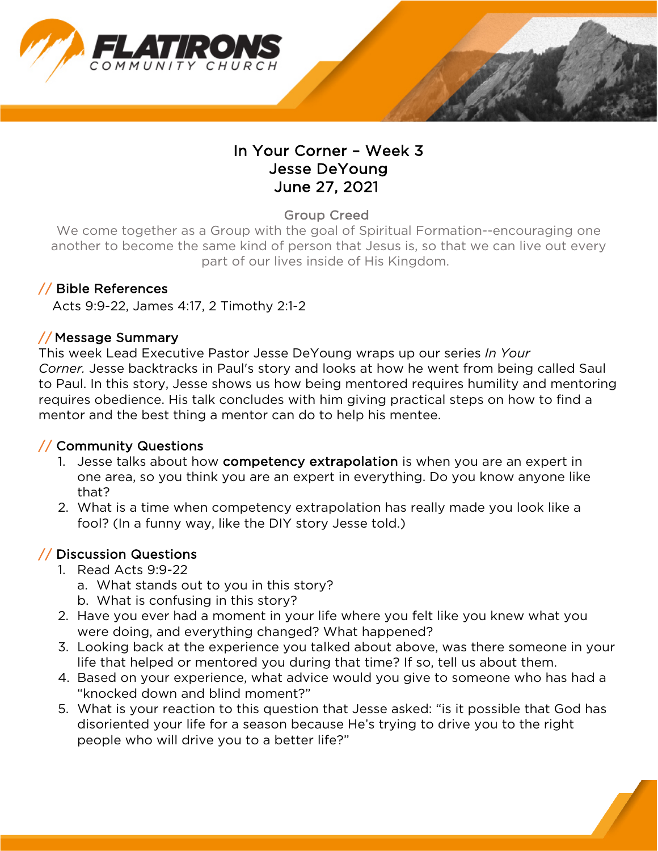

## In Your Corner – Week 3 Jesse DeYoung June 27, 2021

Group Creed

We come together as a Group with the goal of Spiritual Formation--encouraging one another to become the same kind of person that Jesus is, so that we can live out every part of our lives inside of His Kingdom.

#### // Bible References

Acts 9:9-22, James 4:17, 2 Timothy 2:1-2

#### // Message Summary

This week Lead Executive Pastor Jesse DeYoung wraps up our series *In Your Corner.* Jesse backtracks in Paul's story and looks at how he went from being called Saul to Paul. In this story, Jesse shows us how being mentored requires humility and mentoring requires obedience. His talk concludes with him giving practical steps on how to find a mentor and the best thing a mentor can do to help his mentee.

#### // Community Questions

- 1. Jesse talks about how competency extrapolation is when you are an expert in one area, so you think you are an expert in everything. Do you know anyone like that?
- 2. What is a time when competency extrapolation has really made you look like a fool? (In a funny way, like the DIY story Jesse told.)

### // Discussion Questions

- 1. Read Acts 9:9-22
	- a. What stands out to you in this story?
	- b. What is confusing in this story?
- 2. Have you ever had a moment in your life where you felt like you knew what you were doing, and everything changed? What happened?
- 3. Looking back at the experience you talked about above, was there someone in your life that helped or mentored you during that time? If so, tell us about them.
- 4. Based on your experience, what advice would you give to someone who has had a "knocked down and blind moment?"
- 5. What is your reaction to this question that Jesse asked: "is it possible that God has disoriented your life for a season because He's trying to drive you to the right people who will drive you to a better life?"